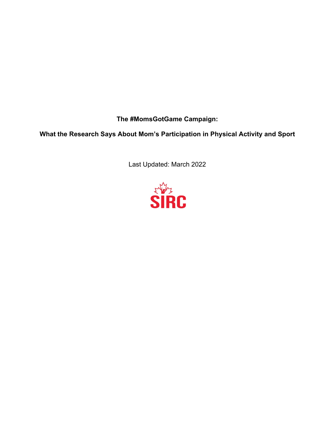**The #MomsGotGame Campaign:**

**What the Research Says About Mom's Participation in Physical Activity and Sport**

Last Updated: March 2022

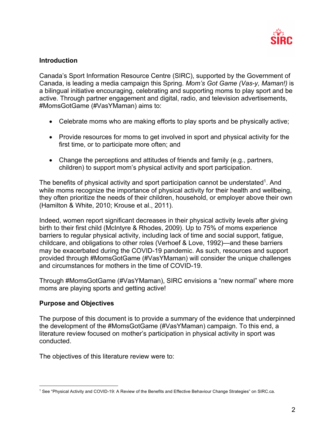

### **Introduction**

Canada's Sport Information Resource Centre (SIRC), supported by the Government of Canada, is leading a media campaign this Spring. *Mom's Got Game (Vas-y, Maman!)* is a bilingual initiative encouraging, celebrating and supporting moms to play sport and be active. Through partner engagement and digital, radio, and television advertisements, #MomsGotGame (#VasYMaman) aims to:

- Celebrate moms who are making efforts to play sports and be physically active;
- Provide resources for moms to get involved in sport and physical activity for the first time, or to participate more often; and
- Change the perceptions and attitudes of friends and family (e.g., partners, children) to support mom's physical activity and sport participation.

The benefits of physical activity and sport participation cannot be understated<sup>1</sup>. And while moms recognize the importance of physical activity for their health and wellbeing, they often prioritize the needs of their children, household, or employer above their own (Hamilton & White, 2010; Krouse et al., 2011).

Indeed, women report significant decreases in their physical activity levels after giving birth to their first child (McIntyre & Rhodes, 2009). Up to 75% of moms experience barriers to regular physical activity, including lack of time and social support, fatigue, childcare, and obligations to other roles (Verhoef & Love, 1992)—and these barriers may be exacerbated during the COVID-19 pandemic. As such, resources and support provided through #MomsGotGame (#VasYMaman) will consider the unique challenges and circumstances for mothers in the time of COVID-19.

Through #MomsGotGame (#VasYMaman), SIRC envisions a "new normal" where more moms are playing sports and getting active!

### **Purpose and Objectives**

The purpose of this document is to provide a summary of the evidence that underpinned the development of the #MomsGotGame (#VasYMaman) campaign. To this end, a literature review focused on mother's participation in physical activity in sport was conducted.

The objectives of this literature review were to:

<sup>1</sup> See "Physical Activity and COVID-19: A Review of the Benefits and Effective Behaviour Change Strategies" on SIRC.ca.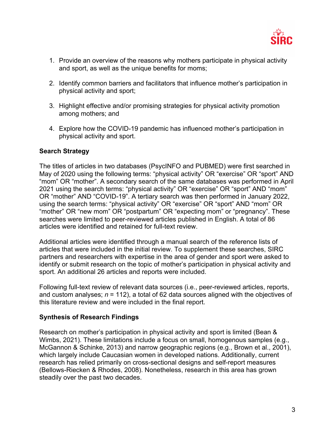

- 1. Provide an overview of the reasons why mothers participate in physical activity and sport, as well as the unique benefits for moms;
- 2. Identify common barriers and facilitators that influence mother's participation in physical activity and sport;
- 3. Highlight effective and/or promising strategies for physical activity promotion among mothers; and
- 4. Explore how the COVID-19 pandemic has influenced mother's participation in physical activity and sport.

# **Search Strategy**

The titles of articles in two databases (PsycINFO and PUBMED) were first searched in May of 2020 using the following terms: "physical activity" OR "exercise" OR "sport" AND "mom" OR "mother". A secondary search of the same databases was performed in April 2021 using the search terms: "physical activity" OR "exercise" OR "sport" AND "mom" OR "mother" AND "COVID-19". A tertiary search was then performed in January 2022, using the search terms: "physical activity" OR "exercise" OR "sport" AND "mom" OR "mother" OR "new mom" OR "postpartum" OR "expecting mom" or "pregnancy". These searches were limited to peer-reviewed articles published in English. A total of 86 articles were identified and retained for full-text review.

Additional articles were identified through a manual search of the reference lists of articles that were included in the initial review. To supplement these searches, SIRC partners and researchers with expertise in the area of gender and sport were asked to identify or submit research on the topic of mother's participation in physical activity and sport. An additional 26 articles and reports were included.

Following full-text review of relevant data sources (i.e., peer-reviewed articles, reports, and custom analyses; *n* = 112), a total of 62 data sources aligned with the objectives of this literature review and were included in the final report.

### **Synthesis of Research Findings**

Research on mother's participation in physical activity and sport is limited (Bean & Wimbs, 2021). These limitations include a focus on small, homogenous samples (e.g., McGannon & Schinke, 2013) and narrow geographic regions (e.g., Brown et al., 2001), which largely include Caucasian women in developed nations. Additionally, current research has relied primarily on cross-sectional designs and self-report measures (Bellows-Riecken & Rhodes, 2008). Nonetheless, research in this area has grown steadily over the past two decades.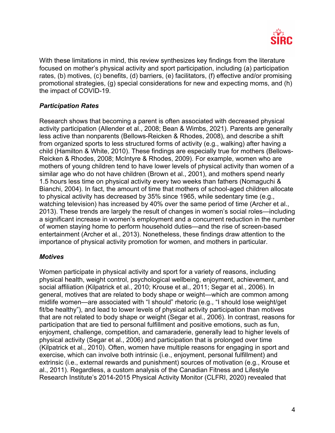

With these limitations in mind, this review synthesizes key findings from the literature focused on mother's physical activity and sport participation, including (a) participation rates, (b) motives, (c) benefits, (d) barriers, (e) facilitators, (f) effective and/or promising promotional strategies, (g) special considerations for new and expecting moms, and (h) the impact of COVID-19.

# *Participation Rates*

Research shows that becoming a parent is often associated with decreased physical activity participation (Allender et al., 2008; Bean & Wimbs, 2021). Parents are generally less active than nonparents (Bellows-Reicken & Rhodes, 2008), and describe a shift from organized sports to less structured forms of activity (e.g., walking) after having a child (Hamilton & White, 2010). These findings are especially true for mothers (Bellows-Reicken & Rhodes, 2008; McIntyre & Rhodes, 2009). For example, women who are mothers of young children tend to have lower levels of physical activity than women of a similar age who do not have children (Brown et al., 2001), and mothers spend nearly 1.5 hours less time on physical activity every two weeks than fathers (Nomaguchi & Bianchi, 2004). In fact, the amount of time that mothers of school-aged children allocate to physical activity has decreased by 35% since 1965, while sedentary time (e.g., watching television) has increased by 40% over the same period of time (Archer et al., 2013). These trends are largely the result of changes in women's social roles—including a significant increase in women's employment and a concurrent reduction in the number of women staying home to perform household duties—and the rise of screen-based entertainment (Archer et al., 2013). Nonetheless, these findings draw attention to the importance of physical activity promotion for women, and mothers in particular.

### *Motives*

Women participate in physical activity and sport for a variety of reasons, including physical health, weight control, psychological wellbeing, enjoyment, achievement, and social affiliation (Kilpatrick et al., 2010; Krouse et al., 2011; Segar et al., 2006). In general, motives that are related to body shape or weight—which are common among midlife women—are associated with "I should" rhetoric (e.g., "I should lose weight/get fit/be healthy"), and lead to lower levels of physical activity participation than motives that are not related to body shape or weight (Segar et al., 2006). In contrast, reasons for participation that are tied to personal fulfillment and positive emotions, such as fun, enjoyment, challenge, competition, and camaraderie, generally lead to higher levels of physical activity (Segar et al., 2006) and participation that is prolonged over time (Kilpatrick et al., 2010). Often, women have multiple reasons for engaging in sport and exercise, which can involve both intrinsic (i.e., enjoyment, personal fulfillment) and extrinsic (i.e., external rewards and punishment) sources of motivation (e.g., Krouse et al., 2011). Regardless, a custom analysis of the Canadian Fitness and Lifestyle Research Institute's 2014-2015 Physical Activity Monitor (CLFRI, 2020) revealed that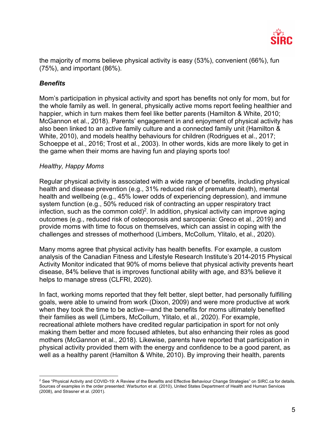

the majority of moms believe physical activity is easy (53%), convenient (66%), fun (75%), and important (86%).

## *Benefits*

Mom's participation in physical activity and sport has benefits not only for mom, but for the whole family as well. In general, physically active moms report feeling healthier and happier, which in turn makes them feel like better parents (Hamilton & White, 2010; McGannon et al., 2018). Parents' engagement in and enjoyment of physical activity has also been linked to an active family culture and a connected family unit (Hamilton & White, 2010), and models healthy behaviours for children (Rodrigues et al., 2017; Schoeppe et al., 2016; Trost et al., 2003). In other words, kids are more likely to get in the game when their moms are having fun and playing sports too!

#### *Healthy, Happy Moms*

Regular physical activity is associated with a wide range of benefits, including physical health and disease prevention (e.g., 31% reduced risk of premature death), mental health and wellbeing (e.g., 45% lower odds of experiencing depression), and immune system function (e.g., 50% reduced risk of contracting an upper respiratory tract infection, such as the common cold)<sup>2</sup>. In addition, physical activity can improve aging outcomes (e.g., reduced risk of osteoporosis and sarcopenia: Greco et al., 2019) and provide moms with time to focus on themselves, which can assist in coping with the challenges and stresses of motherhood (Limbers, McCollum, Ylitalo, et al., 2020).

Many moms agree that physical activity has health benefits. For example, a custom analysis of the Canadian Fitness and Lifestyle Research Institute's 2014-2015 Physical Activity Monitor indicated that 90% of moms believe that physical activity prevents heart disease, 84% believe that is improves functional ability with age, and 83% believe it helps to manage stress (CLFRI, 2020).

In fact, working moms reported that they felt better, slept better, had personally fulfilling goals, were able to unwind from work (Dixon, 2009) and were more productive at work when they took the time to be active—and the benefits for moms ultimately benefited their families as well (Limbers, McCollum, Ylitalo, et al., 2020). For example, recreational athlete mothers have credited regular participation in sport for not only making them better and more focused athletes, but also enhancing their roles as good mothers (McGannon et al., 2018). Likewise, parents have reported that participation in physical activity provided them with the energy and confidence to be a good parent, as well as a healthy parent (Hamilton & White, 2010). By improving their health, parents

 $2$  See "Physical Activity and COVID-19: A Review of the Benefits and Effective Behaviour Change Strategies" on SIRC.ca for details. Sources of examples in the order presented: Warburton et al. (2010), United States Department of Health and Human Services (2008), and Strasner et al. (2001).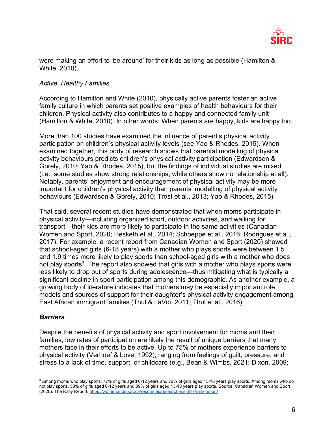

were making an effort to 'be around' for their kids as long as possible (Hamilton & White, 2010).

### *Active, Healthy Families*

According to Hamilton and White (2010), physically active parents foster an active family culture in which parents set positive examples of health behaviours for their children. Physical activity also contributes to a happy and connected family unit (Hamilton & White, 2010). In other words: When parents are happy, kids are happy too.

More than 100 studies have examined the influence of parent's physical activity participation on children's physical activity levels (see Yao & Rhodes, 2015). When examined together, this body of research shows that parental modelling of physical activity behaviours predicts children's physical activity participation (Edwardson & Gorely, 2010; Yao & Rhodes, 2015), but the findings of individual studies are mixed (i.e., some studies show strong relationships, while others show no relationship at all). Notably, parents' enjoyment and encouragement of physical activity may be more important for children's physical activity than parents' modelling of physical activity behaviours (Edwardson & Gorely, 2010; Trost et al., 2013; Yao & Rhodes, 2015)

That said, several recent studies have demonstrated that when moms participate in physical activity—including organized sport, outdoor activities, and walking for transport—their kids are more likely to participate in the same activities (Canadian Women and Sport, 2020; Hesketh et al., 2014; Schoeppe et al., 2016; Rodrigues et al., 2017). For example, a recent report from Canadian Women and Sport (2020) showed that school-aged girls (6-18 years) with a mother who plays sports were between 1.5 and 1.9 times more likely to play sports than school-aged girls with a mother who does not play sports<sup>3</sup>. The report also showed that girls with a mother who plays sports were less likely to drop out of sports during adolescence—thus mitigating what is typically a significant decline in sport participation among this demographic. As another example, a growing body of literature indicates that mothers may be especially important role models and sources of support for their daughter's physical activity engagement among East African immigrant families (Thul & LaVoi, 2011; Thul et al., 2016).

### *Barriers*

Despite the benefits of physical activity and sport involvement for moms and their families, low rates of participation are likely the result of unique barriers that many mothers face in their efforts to be active. Up to 75% of mothers experience barriers to physical activity (Verhoef & Love, 1992), ranging from feelings of guilt, pressure, and stress to a lack of time, support, or childcare (e.g., Bean & Wimbs, 2021; Dixon, 2009;

<sup>&</sup>lt;sup>3</sup> Among moms who play sports, 77% of girls aged 6-12 years and 72% of girls aged 13-18 years play sports. Among moms who do not play sports, 53% of girls aged 6-12 years and 39% of girls aged 13-18 years play sports. Source: Canadian Women and Sport (2020). The Rally Report. https://womenandsport.ca/resources/research-insights/rally-report/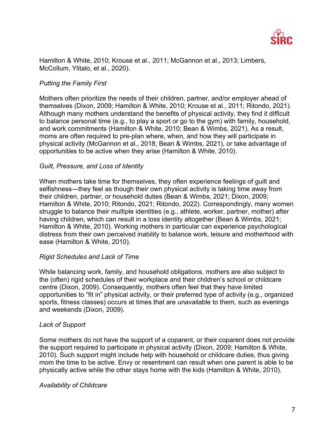

Hamilton & White, 2010; Krouse et al., 2011; McGannon et al., 2013; Limbers. McCollum, Ylitalo, et al., 2020).

## *Putting the Family First*

Mothers often prioritize the needs of their children, partner, and/or employer ahead of themselves (Dixon, 2009; Hamilton & White, 2010; Krouse et al., 2011; Ritondo, 2021). Although many mothers understand the benefits of physical activity, they find it difficult to balance personal time (e.g., to play a sport or go to the gym) with family, household, and work commitments (Hamilton & White, 2010; Bean & Wimbs, 2021). As a result, moms are often required to pre-plan where, when, and how they will participate in physical activity (McGannon et al., 2018; Bean & Wimbs, 2021), or take advantage of opportunities to be active when they arise (Hamilton & White, 2010).

#### *Guilt, Pressure, and Loss of Identity*

When mothers take time for themselves, they often experience feelings of guilt and selfishness—they feel as though their own physical activity is taking time away from their children, partner, or household duties (Bean & Wimbs, 2021; Dixon, 2009; Hamilton & White, 2010; Ritondo, 2021; Ritondo, 2022). Correspondingly, many women struggle to balance their multiple identities (e.g., athlete, worker, partner, mother) after having children, which can result in a loss identity altogether (Bean & Wimbs, 2021; Hamilton & White, 2010). Working mothers in particular can experience psychological distress from their own perceived inability to balance work, leisure and motherhood with ease (Hamilton & White, 2010).

### *Rigid Schedules and Lack of Time*

While balancing work, family, and household obligations, mothers are also subject to the (often) rigid schedules of their workplace and their children's school or childcare centre (Dixon, 2009). Consequently, mothers often feel that they have limited opportunities to "fit in" physical activity, or their preferred type of activity (e.g., organized sports, fitness classes) occurs at times that are unavailable to them, such as evenings and weekends (Dixon, 2009).

### *Lack of Support*

Some mothers do not have the support of a coparent, or their coparent does not provide the support required to participate in physical activity (Dixon, 2009; Hamilton & White, 2010). Such support might include help with household or childcare duties, thus giving mom the time to be active. Envy or resentment can result when one parent is able to be physically active while the other stays home with the kids (Hamilton & White, 2010).

### *Availability of Childcare*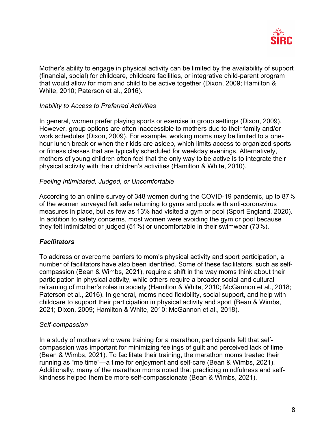

Mother's ability to engage in physical activity can be limited by the availability of support (financial, social) for childcare, childcare facilities, or integrative child-parent program that would allow for mom and child to be active together (Dixon, 2009; Hamilton & White, 2010; Paterson et al., 2016).

### *Inability to Access to Preferred Activities*

In general, women prefer playing sports or exercise in group settings (Dixon, 2009). However, group options are often inaccessible to mothers due to their family and/or work schedules (Dixon, 2009). For example, working moms may be limited to a onehour lunch break or when their kids are asleep, which limits access to organized sports or fitness classes that are typically scheduled for weekday evenings. Alternatively, mothers of young children often feel that the only way to be active is to integrate their physical activity with their children's activities (Hamilton & White, 2010).

#### *Feeling Intimidated, Judged, or Uncomfortable*

According to an online survey of 348 women during the COVID-19 pandemic, up to 87% of the women surveyed felt safe returning to gyms and pools with anti-coronavirus measures in place, but as few as 13% had visited a gym or pool (Sport England, 2020). In addition to safety concerns, most women were avoiding the gym or pool because they felt intimidated or judged (51%) or uncomfortable in their swimwear (73%).

### *Facilitators*

To address or overcome barriers to mom's physical activity and sport participation, a number of facilitators have also been identified. Some of these facilitators, such as selfcompassion (Bean & Wimbs, 2021), require a shift in the way moms think about their participation in physical activity, while others require a broader social and cultural reframing of mother's roles in society (Hamilton & White, 2010; McGannon et al., 2018; Paterson et al., 2016). In general, moms need flexibility, social support, and help with childcare to support their participation in physical activity and sport (Bean & Wimbs, 2021; Dixon, 2009; Hamilton & White, 2010; McGannon et al., 2018).

### *Self-compassion*

In a study of mothers who were training for a marathon, participants felt that selfcompassion was important for minimizing feelings of guilt and perceived lack of time (Bean & Wimbs, 2021). To facilitate their training, the marathon moms treated their running as "me time"—a time for enjoyment and self-care (Bean & Wimbs, 2021). Additionally, many of the marathon moms noted that practicing mindfulness and selfkindness helped them be more self-compassionate (Bean & Wimbs, 2021).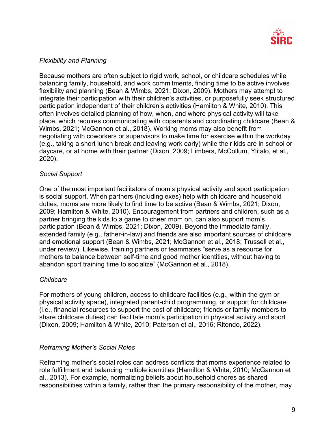

### *Flexibility and Planning*

Because mothers are often subject to rigid work, school, or childcare schedules while balancing family, household, and work commitments, finding time to be active involves flexibility and planning (Bean & Wimbs, 2021; Dixon, 2009). Mothers may attempt to integrate their participation with their children's activities, or purposefully seek structured participation independent of their children's activities (Hamilton & White, 2010). This often involves detailed planning of how, when, and where physical activity will take place, which requires communicating with coparents and coordinating childcare (Bean & Wimbs, 2021; McGannon et al., 2018). Working moms may also benefit from negotiating with coworkers or supervisors to make time for exercise within the workday (e.g., taking a short lunch break and leaving work early) while their kids are in school or daycare, or at home with their partner (Dixon, 2009; Limbers, McCollum, Ylitalo, et al., 2020).

## *Social Support*

One of the most important facilitators of mom's physical activity and sport participation is social support. When partners (including exes) help with childcare and household duties, moms are more likely to find time to be active (Bean & Wimbs, 2021; Dixon, 2009; Hamilton & White, 2010). Encouragement from partners and children, such as a partner bringing the kids to a game to cheer mom on, can also support mom's participation (Bean & Wimbs, 2021; Dixon, 2009). Beyond the immediate family, extended family (e.g., father-in-law) and friends are also important sources of childcare and emotional support (Bean & Wimbs, 2021; McGannon et al., 2018; Trussell et al., under review). Likewise, training partners or teammates "serve as a resource for mothers to balance between self-time and good mother identities, without having to abandon sport training time to socialize" (McGannon et al., 2018).

### *Childcare*

For mothers of young children, access to childcare facilities (e.g., within the gym or physical activity space), integrated parent-child programming, or support for childcare (i.e., financial resources to support the cost of childcare; friends or family members to share childcare duties) can facilitate mom's participation in physical activity and sport (Dixon, 2009; Hamilton & White, 2010; Paterson et al., 2016; Ritondo, 2022).

# *Reframing Mother's Social Roles*

Reframing mother's social roles can address conflicts that moms experience related to role fulfillment and balancing multiple identities (Hamilton & White, 2010; McGannon et al., 2013). For example, normalizing beliefs about household chores as shared responsibilities within a family, rather than the primary responsibility of the mother, may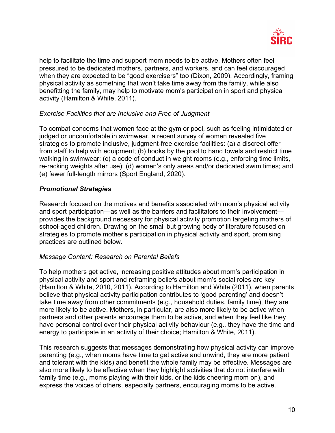

help to facilitate the time and support mom needs to be active. Mothers often feel pressured to be dedicated mothers, partners, and workers, and can feel discouraged when they are expected to be "good exercisers" too (Dixon, 2009). Accordingly, framing physical activity as something that won't take time away from the family, while also benefitting the family, may help to motivate mom's participation in sport and physical activity (Hamilton & White, 2011).

### *Exercise Facilities that are Inclusive and Free of Judgment*

To combat concerns that women face at the gym or pool, such as feeling intimidated or judged or uncomfortable in swimwear, a recent survey of women revealed five strategies to promote inclusive, judgment-free exercise facilities: (a) a discreet offer from staff to help with equipment; (b) hooks by the pool to hand towels and restrict time walking in swimwear; (c) a code of conduct in weight rooms (e.g., enforcing time limits, re-racking weights after use); (d) women's only areas and/or dedicated swim times; and (e) fewer full-length mirrors (Sport England, 2020).

## *Promotional Strategies*

Research focused on the motives and benefits associated with mom's physical activity and sport participation—as well as the barriers and facilitators to their involvement provides the background necessary for physical activity promotion targeting mothers of school-aged children. Drawing on the small but growing body of literature focused on strategies to promote mother's participation in physical activity and sport, promising practices are outlined below.

### *Message Content: Research on Parental Beliefs*

To help mothers get active, increasing positive attitudes about mom's participation in physical activity and sport and reframing beliefs about mom's social roles are key (Hamilton & White, 2010, 2011). According to Hamilton and White (2011), when parents believe that physical activity participation contributes to 'good parenting' and doesn't take time away from other commitments (e.g., household duties, family time), they are more likely to be active. Mothers, in particular, are also more likely to be active when partners and other parents encourage them to be active, and when they feel like they have personal control over their physical activity behaviour (e.g., they have the time and energy to participate in an activity of their choice; Hamilton & White, 2011).

This research suggests that messages demonstrating how physical activity can improve parenting (e.g., when moms have time to get active and unwind, they are more patient and tolerant with the kids) and benefit the whole family may be effective. Messages are also more likely to be effective when they highlight activities that do not interfere with family time (e.g., moms playing with their kids, or the kids cheering mom on), and express the voices of others, especially partners, encouraging moms to be active.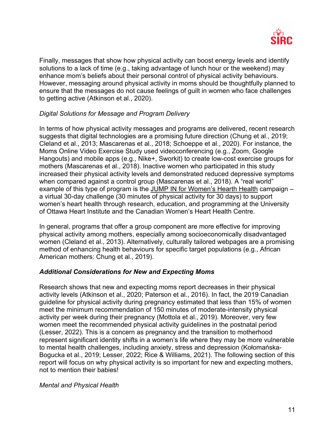

Finally, messages that show how physical activity can boost energy levels and identify solutions to a lack of time (e.g., taking advantage of lunch hour or the weekend) may enhance mom's beliefs about their personal control of physical activity behaviours. However, messaging around physical activity in moms should be thoughtfully planned to ensure that the messages do not cause feelings of guilt in women who face challenges to getting active (Atkinson et al., 2020).

## *Digital Solutions for Message and Program Delivery*

In terms of how physical activity messages and programs are delivered, recent research suggests that digital technologies are a promising future direction (Chung et al., 2019; Cleland et al., 2013; Mascarenas et al., 2018; Schoeppe et al., 2020). For instance, the Moms Online Video Exercise Study used videoconferencing (e.g., Zoom, Google Hangouts) and mobile apps (e.g., Nike+, Sworkit) to create low-cost exercise groups for mothers (Mascarenas et al., 2018). Inactive women who participated in this study increased their physical activity levels and demonstrated reduced depressive symptoms when compared against a control group (Mascarenas et al., 2018). A "real world" example of this type of program is the JUMP IN for Women's Hearth Health campaign – a virtual 30-day challenge (30 minutes of physical activity for 30 days) to support women's heart health through research, education, and programming at the University of Ottawa Heart Institute and the Canadian Women's Heart Health Centre.

In general, programs that offer a group component are more effective for improving physical activity among mothers, especially among socioeconomically disadvantaged women (Cleland et al., 2013). Alternatively, culturally tailored webpages are a promising method of enhancing health behaviours for specific target populations (e.g., African American mothers: Chung et al., 2019).

### *Additional Considerations for New and Expecting Moms*

Research shows that new and expecting moms report decreases in their physical activity levels (Atkinson et al., 2020; Paterson et al., 2016). In fact, the 2019 Canadian guideline for physical activity during pregnancy estimated that less than 15% of women meet the minimum recommendation of 150 minutes of moderate-intensity physical activity per week during their pregnancy (Mottola et al., 2019). Moreover, very few women meet the recommended physical activity guidelines in the postnatal period (Lesser, 2022). This is a concern as pregnancy and the transition to motherhood represent significant identity shifts in a women's life where they may be more vulnerable to mental health challenges, including anxiety, stress and depression (Kołomańska-Bogucka et al., 2019; Lesser, 2022; Rice & Williams, 2021). The following section of this report will focus on why physical activity is so important for new and expecting mothers, not to mention their babies!

### *Mental and Physical Health*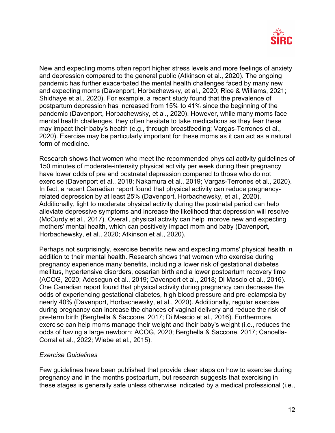

New and expecting moms often report higher stress levels and more feelings of anxiety and depression compared to the general public (Atkinson et al., 2020). The ongoing pandemic has further exacerbated the mental health challenges faced by many new and expecting moms (Davenport, Horbachewsky, et al., 2020; Rice & Williams, 2021; Shidhaye et al., 2020). For example, a recent study found that the prevalence of postpartum depression has increased from 15% to 41% since the beginning of the pandemic (Davenport, Horbachewsky, et al., 2020). However, while many moms face mental health challenges, they often hesitate to take medications as they fear these may impact their baby's health (e.g., through breastfeeding; Vargas-Terrones et al., 2020). Exercise may be particularly important for these moms as it can act as a natural form of medicine.

Research shows that women who meet the recommended physical activity guidelines of 150 minutes of moderate-intensity physical activity per week during their pregnancy have lower odds of pre and postnatal depression compared to those who do not exercise (Davenport et al., 2018; Nakamura et al., 2019; Vargas-Terrones et al., 2020). In fact, a recent Canadian report found that physical activity can reduce pregnancyrelated depression by at least 25% (Davenport, Horbachewsky, et al., 2020). Additionally, light to moderate physical activity during the postnatal period can help alleviate depressive symptoms and increase the likelihood that depression will resolve (McCurdy et al., 2017). Overall, physical activity can help improve new and expecting mothers' mental health, which can positively impact mom and baby (Davenport, Horbachewsky, et al., 2020; Atkinson et al., 2020).

Perhaps not surprisingly, exercise benefits new and expecting moms' physical health in addition to their mental health. Research shows that women who exercise during pregnancy experience many benefits, including a lower risk of gestational diabetes mellitus, hypertensive disorders, cesarian birth and a lower postpartum recovery time (ACOG, 2020; Adesegun et al., 2019; Davenport et al., 2018; Di Mascio et al., 2016). One Canadian report found that physical activity during pregnancy can decrease the odds of experiencing gestational diabetes, high blood pressure and pre-eclampsia by nearly 40% (Davenport, Horbachewsky, et al., 2020). Additionally, regular exercise during pregnancy can increase the chances of vaginal delivery and reduce the risk of pre-term birth (Berghella & Saccone, 2017; Di Mascio et al., 2016). Furthermore, exercise can help moms manage their weight and their baby's weight (i.e., reduces the odds of having a large newborn; ACOG, 2020; Berghella & Saccone, 2017; Cancella-Corral et al., 2022*;* Wiebe et al., 2015).

#### *Exercise Guidelines*

Few guidelines have been published that provide clear steps on how to exercise during pregnancy and in the months postpartum, but research suggests that exercising in these stages is generally safe unless otherwise indicated by a medical professional (i.e.,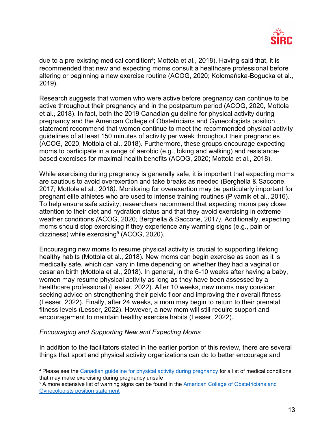

due to a pre-existing medical condition<sup>4</sup>; Mottola et al., 2018). Having said that, it is recommended that new and expecting moms consult a healthcare professional before altering or beginning a new exercise routine (ACOG, 2020; Kołomańska-Bogucka et al., 2019).

Research suggests that women who were active before pregnancy can continue to be active throughout their pregnancy and in the postpartum period (ACOG, 2020, Mottola et al., 2018). In fact, both the 2019 Canadian guideline for physical activity during pregnancy and the American College of Obstetricians and Gynecologists position statement recommend that women continue to meet the recommended physical activity guidelines of at least 150 minutes of activity per week throughout their pregnancies (ACOG, 2020, Mottola et al., 2018). Furthermore, these groups encourage expecting moms to participate in a range of aerobic (e.g., biking and walking) and resistancebased exercises for maximal health benefits (ACOG, 2020; Mottola et al., 2018).

While exercising during pregnancy is generally safe, it is important that expecting moms are cautious to avoid overexertion and take breaks as needed (Berghella & Saccone, 2017*;* Mottola et al., 2018*).* Monitoring for overexertion may be particularly important for pregnant elite athletes who are used to intense training routines (Pivarnik et al., 2016). To help ensure safe activity, researchers recommend that expecting moms pay close attention to their diet and hydration status and that they avoid exercising in extreme weather conditions *(*ACOG, 2020*;* Berghella & Saccone, 2017*).* Additionally, expecting moms should stop exercising if they experience any warning signs (e.g., pain or dizziness) while exercising<sup>5</sup> (ACOG, 2020).

Encouraging new moms to resume physical activity is crucial to supporting lifelong healthy habits (Mottola et al., 2018). New moms can begin exercise as soon as it is medically safe, which can vary in time depending on whether they had a vaginal or cesarian birth (Mottola et al., 2018). In general, in the 6-10 weeks after having a baby, women may resume physical activity as long as they have been assessed by a healthcare professional (Lesser, 2022). After 10 weeks, new moms may consider seeking advice on strengthening their pelvic floor and improving their overall fitness (Lesser, 2022). Finally, after 24 weeks, a mom may begin to return to their prenatal fitness levels (Lesser, 2022). However, a new mom will still require support and encouragement to maintain healthy exercise habits (Lesser, 2022).

### *Encouraging and Supporting New and Expecting Moms*

In addition to the facilitators stated in the earlier portion of this review, there are several things that sport and physical activity organizations can do to better encourage and

<sup>&</sup>lt;sup>4</sup> Please see the Canadian guideline for physical activity during pregnancy for a list of medical conditions that may make exercising during pregnancy unsafe

<sup>&</sup>lt;sup>5</sup> A more extensive list of warning signs can be found in the American College of Obstetricians and Gynecologists position statement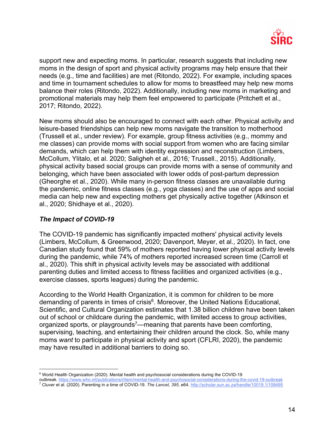

support new and expecting moms. In particular, research suggests that including new moms in the design of sport and physical activity programs may help ensure that their needs (e.g., time and facilities) are met (Ritondo, 2022). For example, including spaces and time in tournament schedules to allow for moms to breastfeed may help new moms balance their roles (Ritondo, 2022). Additionally, including new moms in marketing and promotional materials may help them feel empowered to participate (Pritchett et al., 2017; Ritondo, 2022).

New moms should also be encouraged to connect with each other. Physical activity and leisure-based friendships can help new moms navigate the transition to motherhood (Trussell et al., under review). For example, group fitness activities (e.g., mommy and me classes) can provide moms with social support from women who are facing similar demands, which can help them with identity expression and reconstruction (Limbers, McCollum, Ylitalo, et al. 2020; Saligheh et al., 2016*;* Trussell., 2015). Additionally, physical activity based social groups can provide moms with a sense of community and belonging, which have been associated with lower odds of post-partum depression (Gheorghe et al., 2020). While many in-person fitness classes are unavailable during the pandemic, online fitness classes (e.g., yoga classes) and the use of apps and social media can help new and expecting mothers get physically active together (Atkinson et al., 2020; Shidhaye et al., 2020).

# *The Impact of COVID-19*

The COVID-19 pandemic has significantly impacted mothers' physical activity levels (Limbers, McCollum, & Greenwood, 2020; Davenport, Meyer, et al., 2020). In fact, one Canadian study found that 59% of mothers reported having lower physical activity levels during the pandemic, while 74% of mothers reported increased screen time (Carroll et al., 2020). This shift in physical activity levels may be associated with additional parenting duties and limited access to fitness facilities and organized activities (e.g., exercise classes, sports leagues) during the pandemic.

According to the World Health Organization, it is common for children to be more demanding of parents in times of crisis<sup>6</sup>. Moreover, the United Nations Educational, Scientific, and Cultural Organization estimates that 1.38 billion children have been taken out of school or childcare during the pandemic, with limited access to group activities, organized sports, or playgrounds<sup>7</sup>—meaning that parents have been comforting, supervising, teaching, and entertaining their children around the clock. So, while many moms *want* to participate in physical activity and sport (CFLRI, 2020), the pandemic may have resulted in additional barriers to doing so.

<sup>6</sup> World Health Organization (2020). Mental health and psychosocial considerations during the COVID-19

outbreak. https://www.who.int/publications/i/item/mental-health-and-psychosocial-considerations-during-the-covid-19-outbreak <sup>7</sup> Cluver et al. (2020). Parenting in a time of COVID-19. *The Lancet, 395*, e64. http://scholar.sun.ac.za/handle/10019.1/108495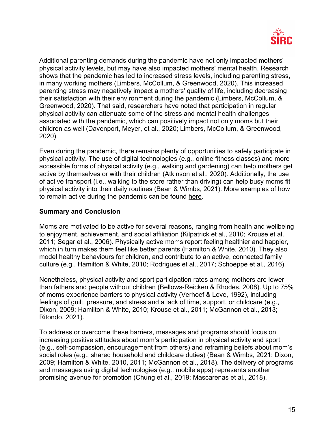

Additional parenting demands during the pandemic have not only impacted mothers' physical activity levels, but may have also impacted mothers' mental health. Research shows that the pandemic has led to increased stress levels, including parenting stress, in many working mothers (Limbers, McCollum, & Greenwood, 2020). This increased parenting stress may negatively impact a mothers' quality of life, including decreasing their satisfaction with their environment during the pandemic (Limbers, McCollum, & Greenwood, 2020). That said, researchers have noted that participation in regular physical activity can attenuate some of the stress and mental health challenges associated with the pandemic, which can positively impact not only moms but their children as well (Davenport, Meyer, et al., 2020; Limbers, McCollum, & Greenwood, 2020)

Even during the pandemic, there remains plenty of opportunities to safely participate in physical activity. The use of digital technologies (e.g., online fitness classes) and more accessible forms of physical activity (e.g., walking and gardening) can help mothers get active by themselves or with their children (Atkinson et al., 2020). Additionally, the use of active transport (i.e., walking to the store rather than driving) can help busy moms fit physical activity into their daily routines (Bean & Wimbs, 2021). More examples of how to remain active during the pandemic can be found here.

### **Summary and Conclusion**

Moms are motivated to be active for several reasons, ranging from health and wellbeing to enjoyment, achievement, and social affiliation (Kilpatrick et al., 2010; Krouse et al., 2011; Segar et al., 2006). Physically active moms report feeling healthier and happier, which in turn makes them feel like better parents (Hamilton & White, 2010). They also model healthy behaviours for children, and contribute to an active, connected family culture (e.g., Hamilton & White, 2010; Rodrigues et al., 2017; Schoeppe et al., 2016).

Nonetheless, physical activity and sport participation rates among mothers are lower than fathers and people without children (Bellows-Reicken & Rhodes, 2008). Up to 75% of moms experience barriers to physical activity (Verhoef & Love, 1992), including feelings of guilt, pressure, and stress and a lack of time, support, or childcare (e.g., Dixon, 2009; Hamilton & White, 2010; Krouse et al., 2011; McGannon et al., 2013; Ritondo, 2021).

To address or overcome these barriers, messages and programs should focus on increasing positive attitudes about mom's participation in physical activity and sport (e.g., self-compassion, encouragement from others) and reframing beliefs about mom's social roles (e.g., shared household and childcare duties) (Bean & Wimbs, 2021; Dixon, 2009; Hamilton & White, 2010, 2011; McGannon et al., 2018). The delivery of programs and messages using digital technologies (e.g., mobile apps) represents another promising avenue for promotion (Chung et al., 2019; Mascarenas et al., 2018).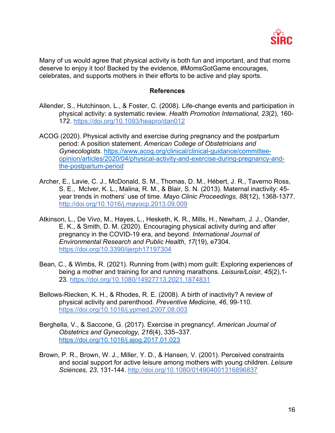

Many of us would agree that physical activity is both fun and important, and that moms deserve to enjoy it too! Backed by the evidence, #MomsGotGame encourages, celebrates, and supports mothers in their efforts to be active and play sports.

#### **References**

- Allender, S., Hutchinson, L., & Foster, C. (2008). Life-change events and participation in physical activity: a systematic review. *Health Promotion International, 23*(2), 160- 172. https://doi.org/10.1093/heapro/dan012
- ACOG (2020). Physical activity and exercise during pregnancy and the postpartum period: A position statement. *American College of Obstetricians and Gynecologists*. https://www.acog.org/clinical/clinical-guidance/committeeopinion/articles/2020/04/physical-activity-and-exercise-during-pregnancy-andthe-postpartum-period
- Archer, E., Lavie, C. J., McDonald, S. M., Thomas, D. M., Hébert, J. R., Taverno Ross, S. E., McIver, K. L., Malina, R. M., & Blair, S. N. (2013). Maternal inactivity: 45 year trends in mothers' use of time. *Mayo Clinic Proceedings, 88*(12), 1368-1377. http://doi.org/10.1016/j.mayocp.2013.09.009
- Atkinson, L., De Vivo, M., Hayes, L., Hesketh, K. R., Mills, H., Newham, J. J., Olander, E. K., & Smith, D. M. (2020). Encouraging physical activity during and after pregnancy in the COVID-19 era, and beyond. *International Journal of Environmental Research and Public Health*, *17*(19), e7304. https://doi.org/10.3390/ijerph17197304
- Bean, C., & Wimbs, R. (2021). Running from (with) mom guilt: Exploring experiences of being a mother and training for and running marathons. *Leisure/Loisir, 45*(2),1- 23. https://doi.org/10.1080/14927713.2021.1874831
- Bellows-Riecken, K. H., & Rhodes, R. E. (2008). A birth of inactivity? A review of physical activity and parenthood. *Preventive Medicine, 46*, 99-110. https://doi.org/10.1016/j.ypmed.2007.08.003
- Berghella, V., & Saccone, G. (2017). Exercise in pregnancy!. *American Journal of Obstetrics and Gynecology*, *216*(4), 335–337. https://doi.org/10.1016/j.ajog.2017.01.023
- Brown, P. R., Brown, W. J., Miller, Y. D., & Hansen, V. (2001). Perceived constraints and social support for active leisure among mothers with young children. *Leisure Sciences, 23*, 131-144. http://doi.org/10.1080/014904001316896837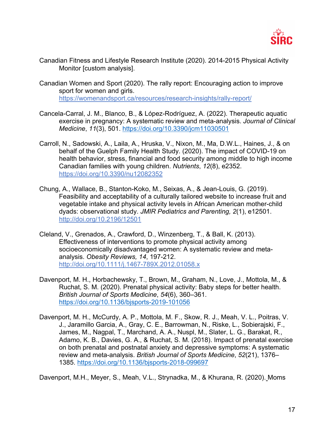

- Canadian Fitness and Lifestyle Research Institute (2020). 2014-2015 Physical Activity Monitor [custom analysis].
- Canadian Women and Sport (2020). The rally report: Encouraging action to improve sport for women and girls. https://womenandsport.ca/resources/research-insights/rally-report/
- Cancela-Carral, J. M., Blanco, B., & López-Rodríguez, A. (2022). Therapeutic aquatic exercise in pregnancy: A systematic review and meta-analysis. *Journal of Clinical Medicine*, *11*(3), 501. https://doi.org/10.3390/jcm11030501
- Carroll, N., Sadowski, A., Laila, A., Hruska, V., Nixon, M., Ma, D.W.L., Haines, J., & on behalf of the Guelph Family Health Study. (2020). The impact of COVID-19 on health behavior, stress, financial and food security among middle to high income Canadian families with young children. *Nutrients*, *12*(8), e2352. https://doi.org/10.3390/nu12082352
- Chung, A., Wallace, B., Stanton-Koko, M., Seixas, A., & Jean-Louis, G. (2019). Feasibility and acceptability of a culturally tailored website to increase fruit and vegetable intake and physical activity levels in African American mother-child dyads: observational study. *JMIR Pediatrics and Parenting, 2*(1), e12501. http://doi.org/10.2196/12501
- Cleland, V., Grenados, A., Crawford, D., Winzenberg, T., & Ball, K. (2013). Effectiveness of interventions to promote physical activity among socioeconomically disadvantaged women: A systematic review and metaanalysis. *Obesity Reviews, 14*, 197-212. http://doi.org/10.1111/j.1467-789X.2012.01058.x
- Davenport, M. H., Horbachewsky, T., Brown, M., Graham, N., Love, J., Mottola, M., & Ruchat, S. M. (2020). Prenatal physical activity: Baby steps for better health. *British Journal of Sports Medicine*, *54*(6), 360–361. https://doi.org/10.1136/bjsports-2019-101056
- Davenport, M. H., McCurdy, A. P., Mottola, M. F., Skow, R. J., Meah, V. L., Poitras, V. J., Jaramillo Garcia, A., Gray, C. E., Barrowman, N., Riske, L., Sobierajski, F., James, M., Nagpal, T., Marchand, A. A., Nuspl, M., Slater, L. G., Barakat, R., Adamo, K. B., Davies, G. A., & Ruchat, S. M. (2018). Impact of prenatal exercise on both prenatal and postnatal anxiety and depressive symptoms: A systematic review and meta-analysis. *British Journal of Sports Medicine*, *52*(21), 1376– 1385. https://doi.org/10.1136/bjsports-2018-099697

Davenport, M.H., Meyer, S., Meah, V.L., Strynadka, M., & Khurana, R. (2020). Moms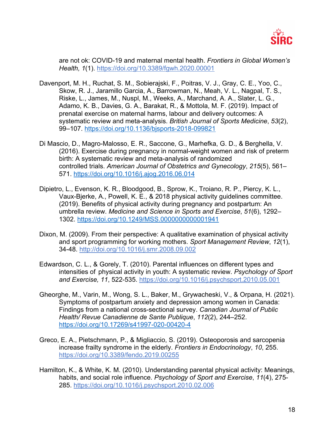

are not ok: COVID-19 and maternal mental health. *Frontiers in Global Women's Health, 1*(1). https://doi.org/10.3389/fgwh.2020.00001

- Davenport, M. H., Ruchat, S. M., Sobierajski, F., Poitras, V. J., Gray, C. E., Yoo, C., Skow, R. J., Jaramillo Garcia, A., Barrowman, N., Meah, V. L., Nagpal, T. S., Riske, L., James, M., Nuspl, M., Weeks, A., Marchand, A. A., Slater, L. G., Adamo, K. B., Davies, G. A., Barakat, R., & Mottola, M. F. (2019). Impact of prenatal exercise on maternal harms, labour and delivery outcomes: A systematic review and meta-analysis. *British Journal of Sports Medicine*, *53*(2), 99–107. https://doi.org/10.1136/bjsports-2018-099821
- Di Mascio, D., Magro-Malosso, E. R., Saccone, G., Marhefka, G. D., & Berghella, V. (2016). Exercise during pregnancy in normal-weight women and risk of preterm birth: A systematic review and meta-analysis of randomized controlled trials. *American Journal of Obstetrics and Gynecology*, *215*(5), 561– 571. https://doi.org/10.1016/j.ajog.2016.06.014
- Dipietro, L., Evenson, K. R., Bloodgood, B., Sprow, K., Troiano, R. P., Piercy, K. L., Vaux-Bjerke, A., Powell, K. E., & 2018 physical activity guidelines committee. (2019). Benefits of physical activity during pregnancy and postpartum: An umbrella review. *Medicine and Science in Sports and Exercise*, *51*(6), 1292– 1302. https://doi.org/10.1249/MSS.0000000000001941
- Dixon, M. (2009). From their perspective: A qualitative examination of physical activity and sport programming for working mothers. *Sport Management Review*, *12*(1), 34-48. http://doi.org/10.1016/j.smr.2008.09.002
- Edwardson, C. L., & Gorely, T. (2010). Parental influences on different types and intensities of physical activity in youth: A systematic review. *Psychology of Sport and Exercise, 11*, 522-535. https://doi.org/10.1016/j.psychsport.2010.05.001
- Gheorghe, M., Varin, M., Wong, S. L., Baker, M., Grywacheski, V., & Orpana, H. (2021). Symptoms of postpartum anxiety and depression among women in Canada: Findings from a national cross-sectional survey. *Canadian Journal of Public Health/ Revue Canadienne de Sante Publique*, *112*(2), 244–252. https://doi.org/10.17269/s41997-020-00420-4
- Greco, E. A., Pietschmann, P., & Migliaccio, S. (2019). Osteoporosis and sarcopenia increase frailty syndrome in the elderly. *Frontiers in Endocrinology*, *10*, 255. https://doi.org/10.3389/fendo.2019.00255
- Hamilton, K., & White, K. M. (2010). Understanding parental physical activity: Meanings, habits, and social role influence. *Psychology of Sport and Exercise*, *11*(4), 275- 285. https://doi.org/10.1016/j.psychsport.2010.02.006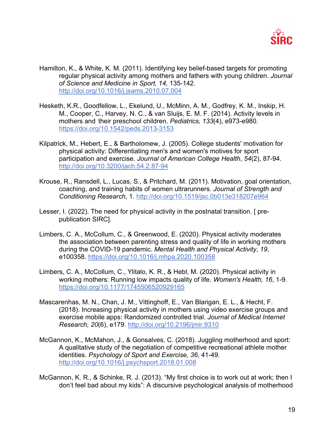

- Hamilton, K., & White, K. M. (2011). Identifying key belief-based targets for promoting regular physical activity among mothers and fathers with young children. *Journal of Science and Medicine in Sport, 14,* 135-142. http://doi.org/10.1016/j.jsams.2010.07.004
- Hesketh, K.R., Goodfellow, L., Ekelund, U., McMinn, A. M., Godfrey, K. M., Inskip, H. M., Cooper, C., Harvey, N. C., & van Sluijs, E. M. F. (2014). Activity levels in mothers and their preschool children. *Pediatrics, 133*(4), e973-e980. https://doi.org/10.1542/peds.2013-3153
- Kilpatrick, M., Hebert, E., & Bartholomew, J. (2005). College students' motivation for physical activity: Differentiating men's and women's motives for sport participation and exercise. *Journal of American College Health*, *54*(2), 87-94. http://doi.org/10.3200/jach.54.2.87-94
- Krouse, R., Ransdell, L., Lucas, S., & Pritchard, M. (2011). Motivation, goal orientation, coaching, and training habits of women ultrarunners. *Journal of Strength and Conditioning Research*, 1. http://doi.org/10.1519/jsc.0b013e318207e964
- Lesser, I. (2022). The need for physical activity in the postnatal transition. [ prepublication SIRC].
- Limbers, C. A., McCollum, C., & Greenwood, E. (2020). Physical activity moderates the association between parenting stress and quality of life in working mothers during the COVID-19 pandemic. *Mental Health and Physical Activity*, *19*, e100358. https://doi.org/10.1016/j.mhpa.2020.100358
- Limbers, C. A., McCollum, C., Ylitalo, K. R., & Hebl, M. (2020). Physical activity in working mothers: Running low impacts quality of life. *Women's Health, 16*, 1-9. https://doi.org/10.1177/1745506520929165
- Mascarenhas, M. N., Chan, J. M., Vittinghoff, E., Van Blarigan, E. L., & Hecht, F. (2018). Increasing physical activity in mothers using video exercise groups and exercise mobile apps: Randomized controlled trial. *Journal of Medical Internet Research, 20*(6), e179. http://doi.org/10.2196/jmir.9310
- McGannon, K., McMahon, J., & Gonsalves, C. (2018). Juggling motherhood and sport: A qualitative study of the negotiation of competitive recreational athlete mother identities. *Psychology of Sport and Exercise*, *36*, 41-49. http://doi.org/10.1016/j.psychsport.2018.01.008
- McGannon, K. R., & Schinke, R. J. (2013). "My first choice is to work out at work; then I don't feel bad about my kids": A discursive psychological analysis of motherhood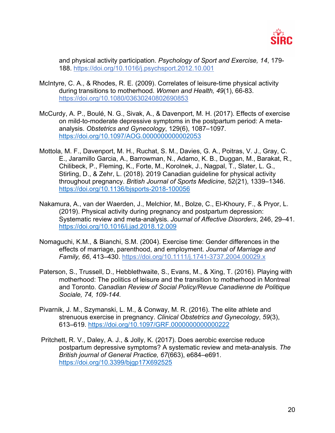

and physical activity participation. *Psychology of Sport and Exercise, 14*, 179- 188. https://doi.org/10.1016/j.psychsport.2012.10.001

- McIntyre, C. A., & Rhodes, R. E. (2009). Correlates of leisure-time physical activity during transitions to motherhood. *Women and Health, 49*(1), 66-83. https://doi.org/10.1080/03630240802690853
- McCurdy, A. P., Boulé, N. G., Sivak, A., & Davenport, M. H. (2017). Effects of exercise on mild-to-moderate depressive symptoms in the postpartum period: A metaanalysis. *Obstetrics and Gynecology*, 129(6), 1087–1097. https://doi.org/10.1097/AOG.0000000000002053
- Mottola, M. F., Davenport, M. H., Ruchat, S. M., Davies, G. A., Poitras, V. J., Gray, C. E., Jaramillo Garcia, A., Barrowman, N., Adamo, K. B., Duggan, M., Barakat, R., Chilibeck, P., Fleming, K., Forte, M., Korolnek, J., Nagpal, T., Slater, L. G., Stirling, D., & Zehr, L. (2018). 2019 Canadian guideline for physical activity throughout pregnancy. *British Journal of Sports Medicine*, 52(21), 1339–1346. https://doi.org/10.1136/bjsports-2018-100056
- Nakamura, A., van der Waerden, J., Melchior, M., Bolze, C., El-Khoury, F., & Pryor, L. (2019). Physical activity during pregnancy and postpartum depression: Systematic review and meta-analysis. *Journal of Affective Disorders*, 246, 29–41. https://doi.org/10.1016/j.jad.2018.12.009
- Nomaguchi, K.M., & Bianchi, S.M. (2004). Exercise time: Gender differences in the effects of marriage, parenthood, and employment. *Journal of Marriage and Family, 66*, 413–430. https://doi.org/10.1111/j.1741-3737.2004.00029.x
- Paterson, S., Trussell, D., Hebblethwaite, S., Evans, M., & Xing, T. (2016). Playing with motherhood: The politics of leisure and the transition to motherhood in Montreal and Toronto. *Canadian Review of Social Policy/Revue Canadienne de Politique Sociale, 74, 109-144.*
- Pivarnik, J. M., Szymanski, L. M., & Conway, M. R. (2016). The elite athlete and strenuous exercise in pregnancy. *Clinical Obstetrics and Gynecology*, *59*(3), 613–619. https://doi.org/10.1097/GRF.0000000000000222
- Pritchett, R. V., Daley, A. J., & Jolly, K. (2017). Does aerobic exercise reduce postpartum depressive symptoms? A systematic review and meta-analysis. *The British journal of General Practice, 67*(663), e684–e691. https://doi.org/10.3399/bjgp17X692525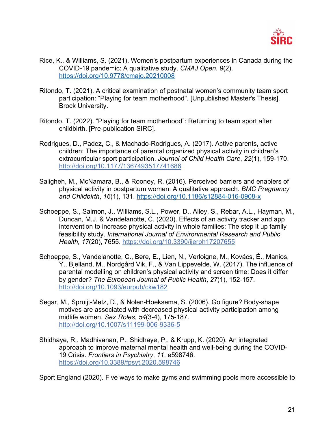

- Rice, K., & Williams, S. (2021). Women's postpartum experiences in Canada during the COVID-19 pandemic: A qualitative study. *CMAJ Open*, *9*(2). https://doi.org/10.9778/cmajo.20210008
- Ritondo, T. (2021). A critical examination of postnatal women's community team sport participation: "Playing for team motherhood". [Unpublished Master's Thesis]. Brock University.
- Ritondo, T. (2022). "Playing for team motherhood": Returning to team sport after childbirth. [Pre-publication SIRC].
- Rodrigues, D., Padez, C., & Machado-Rodrigues, A. (2017). Active parents, active children: The importance of parental organized physical activity in children's extracurricular sport participation. *Journal of Child Health Care*, *22*(1), 159-170. http://doi.org/10.1177/1367493517741686
- Saligheh, M., McNamara, B., & Rooney, R. (2016). Perceived barriers and enablers of physical activity in postpartum women: A qualitative approach. *BMC Pregnancy and Childbirth*, *16*(1), 131. https://doi.org/10.1186/s12884-016-0908-x
- Schoeppe, S., Salmon, J., Williams, S.L., Power, D., Alley, S., Rebar, A.L., Hayman, M., Duncan, M.J. & Vandelanotte, C. (2020). Effects of an activity tracker and app intervention to increase physical activity in whole families: The step it up family feasibility study. *International Journal of Environmental Research and Public Health, 17*(20), 7655. https://doi.org/10.3390/ijerph17207655
- Schoeppe, S., Vandelanotte, C., Bere, E., Lien, N., Verloigne, M., Kovács, É., Manios, Y., Bjelland, M., Nordgård Vik, F., & Van Lippevelde, W. (2017). The influence of parental modelling on children's physical activity and screen time: Does it differ by gender? *The European Journal of Public Health*, *27*(1), 152-157. http://doi.org/10.1093/eurpub/ckw182
- Segar, M., Spruijt-Metz, D., & Nolen-Hoeksema, S. (2006). Go figure? Body-shape motives are associated with decreased physical activity participation among midlife women. *Sex Roles*, *54*(3-4), 175-187. http://doi.org/10.1007/s11199-006-9336-5
- Shidhaye, R., Madhivanan, P., Shidhaye, P., & Krupp, K. (2020). An integrated approach to improve maternal mental health and well-being during the COVID-19 Crisis. *Frontiers in Psychiatry*, *11*, e598746. https://doi.org/10.3389/fpsyt.2020.598746

Sport England (2020). Five ways to make gyms and swimming pools more accessible to